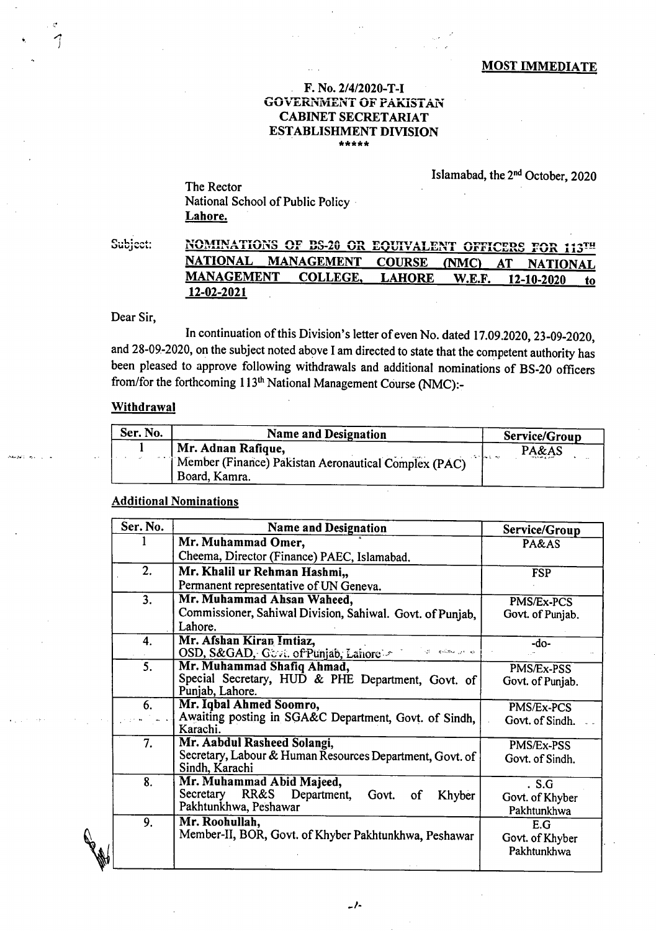### **MOST IMMEDIATE**

### F. No. 2/4/2020-T-I **GOVERNMENT OF PAKISTAN CABINET SECRETARIAT ESTABLISHMENT DIVISION** \*\*\*\*\*

### Islamabad, the 2<sup>nd</sup> October, 2020

The Rector National School of Public Policy Lahore.

Subject: NOMINATIONS OF BS-20 OR EQUIVALENT OFFICERS FOR 113TH **NATIONAL MANAGEMENT COURSE** (NMC)  $AT$ **NATIONAL MANAGEMENT COLLEGE, LAHORE** W.E.F. 12-10-2020 to 12-02-2021

Dear Sir,

In continuation of this Division's letter of even No. dated 17.09.2020, 23-09-2020, and 28-09-2020, on the subject noted above I am directed to state that the competent authority has been pleased to approve following withdrawals and additional nominations of BS-20 officers from/for the forthcoming 113<sup>th</sup> National Management Course (NMC):-

# Withdrawal

| Ser. No. | <b>Name and Designation</b>                                           | Service/Group |
|----------|-----------------------------------------------------------------------|---------------|
|          | Mr. Adnan Rafique,                                                    | PA&AS         |
|          | Member (Finance) Pakistan Aeronautical Complex (PAC)<br>Board, Kamra. |               |

## **Additional Nominations**

| Ser. No. | <b>Name and Designation</b>                                                | Service/Group    |
|----------|----------------------------------------------------------------------------|------------------|
|          | Mr. Muhammad Omer,                                                         | PA&AS            |
|          | Cheema, Director (Finance) PAEC, Islamabad.                                |                  |
| 2.       | Mr. Khalil ur Rehman Hashmi,,                                              | <b>FSP</b>       |
|          | Permanent representative of UN Geneva.                                     |                  |
| 3.       | Mr. Muhammad Ahsan Waheed,                                                 | PMS/Ex-PCS       |
|          | Commissioner, Sahiwal Division, Sahiwal. Govt. of Punjab,                  | Govt. of Punjab. |
|          | Lahore.                                                                    |                  |
| 4.       | Mr. Afshan Kiran Imtiaz,                                                   | $-do$            |
|          | OSD, S&GAD, Govt. of Punjab, Lahore<br>البيانين ليعكنها الارد              |                  |
| 5.       | Mr. Muhammad Shafiq Ahmad,                                                 | PMS/Ex-PSS       |
|          | Special Secretary, HUD & PHE Department, Govt. of                          | Govt. of Punjab. |
|          | Punjab, Lahore.                                                            |                  |
| 6.       | Mr. Iqbal Ahmed Soomro,                                                    | PMS/Ex-PCS       |
|          | Awaiting posting in SGA&C Department, Govt. of Sindh,                      | Govt. of Sindh.  |
|          | Karachi.                                                                   |                  |
| 7.       | Mr. Aabdul Rasheed Solangi,                                                | PMS/Ex-PSS       |
|          | Secretary, Labour & Human Resources Department, Govt. of<br>Sindh, Karachi | Govt. of Sindh.  |
| 8.       | Mr. Muhammad Abid Majeed,                                                  | . S.G            |
|          | RR&S Department, Govt. of<br>Secretary<br>Khyber                           | Govt. of Khyber  |
|          | Pakhtunkhwa, Peshawar                                                      | Pakhtunkhwa      |
| 9.       | Mr. Roohullah,                                                             | E.G              |
|          | Member-II, BOR, Govt. of Khyber Pakhtunkhwa, Peshawar                      | Govt. of Khyber  |
|          |                                                                            | Pakhtunkhwa      |
|          |                                                                            |                  |

 $-1$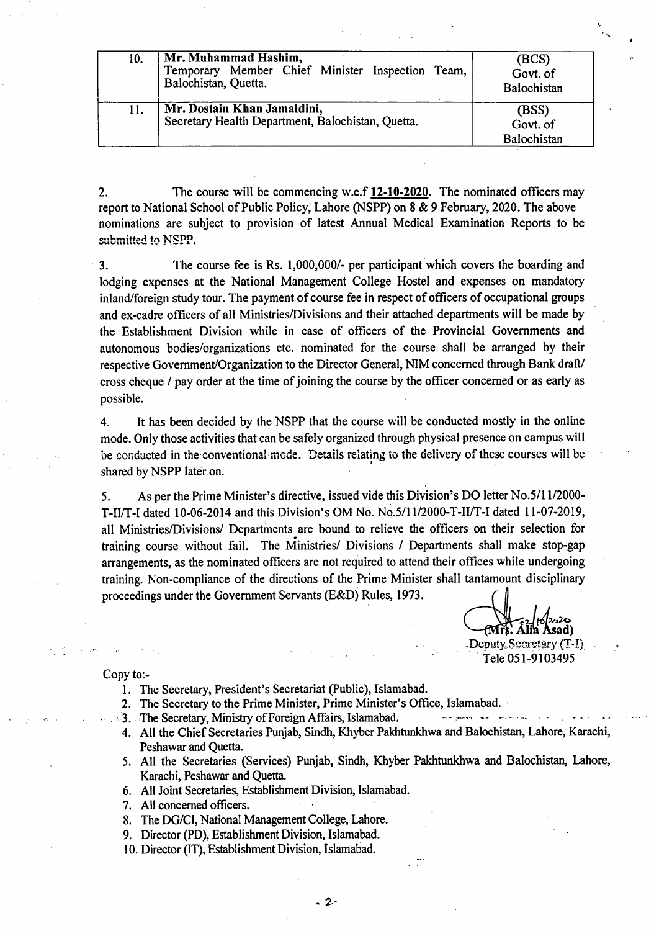| 10. | Mr. Muhammad Hashim,<br>Temporary Member Chief Minister Inspection Team,<br>Balochistan, Quetta. | (BCS)<br>Govt. of<br>Balochistan |
|-----|--------------------------------------------------------------------------------------------------|----------------------------------|
| 11. | Mr. Dostain Khan Jamaldini,<br>Secretary Health Department, Balochistan, Quetta.                 | (BSS)<br>Govt. of<br>Balochistan |

 $2.$ The course will be commencing w.e.f **12-10-2020.** The nominated officers may report to National School of Public Policy, Lahore (NSPP) on 8 & 9 February, 2020. The above nominations are subject to provision of latest Annual Medical Examination Reports to be submitted to **NSPP**.

The course fee is Rs. 1,000,000/- per participant which covers the boarding and  $3.$ lodging expenses at the National Management College Hostel and expenses on mandatory inland/foreign study tour. The payment of course fee in respect of officers of occupational groups and ex-cadre officers of all Ministries/Divisions and their attached departments will be made by the Establishment Division while in case of officers of the Provincial Governments and autonomous bodies/organizations etc. nominated for the course shall be arranged by their respective Government/Organization to the Director General, NIM concerned through Bank draft/ cross cheque / pay order at the time of joining the course by the officer concerned or as early as possible.

It has been decided by the NSPP that the course will be conducted mostly in the online 4. mode. Only those activities that can be safely organized through physical presence on campus will be conducted in the conventional mode. Details relating to the delivery of these courses will be shared by NSPP later on.

As per the Prime Minister's directive, issued vide this Division's DO letter No.5/11/2000- 5. T-II/T-I dated 10-06-2014 and this Division's OM No. No.5/11/2000-T-IIJT-I dated 11-07-2019, all Ministries/Divisions/ Departments are bound to relieve the officers on their selection for training course without fail. The Ministries/ Divisions / Departments shall make stop-gap arrangements, as the nominated officers are not required to attend their offices while undergoing training. Non-compliance of the directions of the Prime Minister shall tantamount disciplinary proceedings under the Government Servants (E&D) Rules, 1973.

 $\mathbf{A}$ lia Asad) Deputy, Secretary  $(T-1)$ Tele 051-9103495

-or

Copy to:-

- 1. The Secretary, President's Secretariat (Public), Islamabad.
- 2. The Secretary to the Prime Minister, Prime Minister's Office, Islamabad.
- 3. The Secretary, Ministry of Foreign Affairs, Islamabad.
- 4. All the Chief Secretaries Punjab, Sindh, Khyber Pakhtunkhwa and Balochistan, Lahore, Karachi, Peshawar and Quetta.
- 5. All the Secretaries (Services) Punjab, Sindh, Khyber Pakhtunkhwa and Balochistan, Lahore, Karachi, Peshawar and Quetta.
- All Joint Secretaries, Establishment Division, Islamabad.
- All concerned officers.
- The DG/CI, National Management College, Lahore.
- 9. Director (PD), Establishment Division, Islamabad.
- 10. Director (IT), Establishment Division, Islamabad.